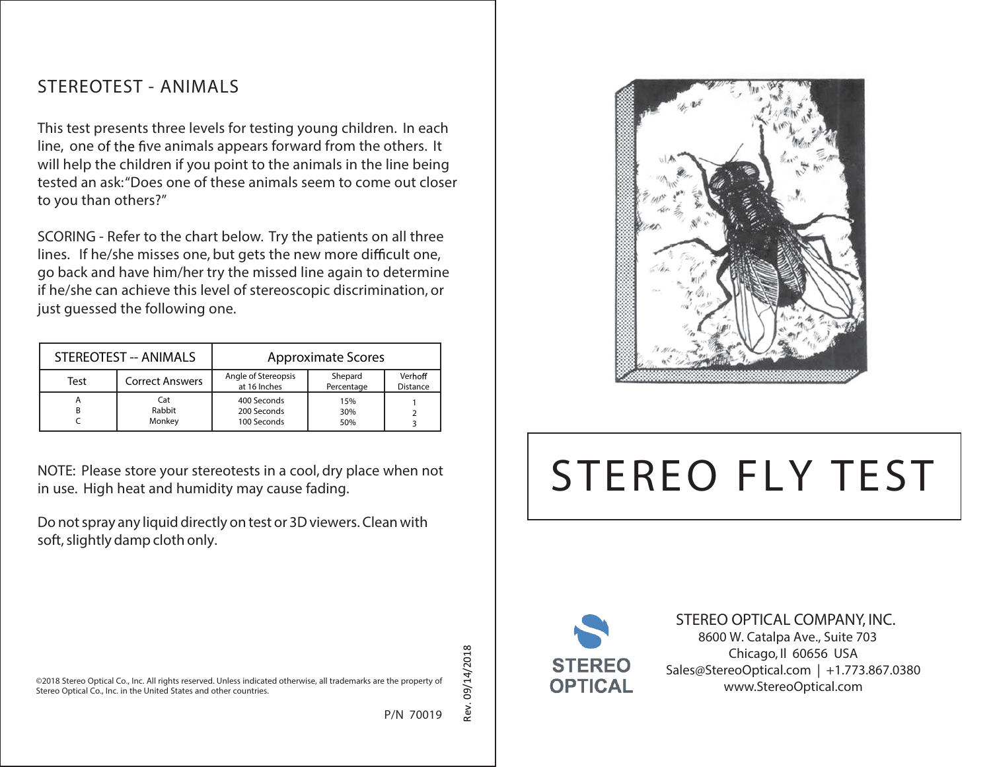## **STEREOTEST - ANIMALS**

This test presents three levels for testing young children. In each line, one of the five animals appears forward from the others. It will help the children if you point to the animals in the line being tested an ask: "Does one of these animals seem to come out closer to you than others?"

SCORING - Refer to the chart below. Try the patients on all three lines. If he/she misses one, but gets the new more difficult one, go back and have him/her try the missed line again to determine if he/she can achieve this level of stereoscopic discrimination, or just guessed the following one.

| STEREOTEST -- ANIMALS |                         | <b>Approximate Scores</b>                 |                       |                            |
|-----------------------|-------------------------|-------------------------------------------|-----------------------|----------------------------|
| Test                  | <b>Correct Answers</b>  | Angle of Stereopsis<br>at 16 Inches       | Shepard<br>Percentage | Verhoff<br><b>Distance</b> |
| А                     | Cat<br>Rabbit<br>Monkey | 400 Seconds<br>200 Seconds<br>100 Seconds | 15%<br>30%<br>50%     |                            |

NOTE: Please store your stereotests in a cool, dry place when not in use. High heat and humidity may cause fading.

Do not spray any liquid directly on test or 3D viewers. Clean with soft, slightly damp cloth only.



# **STEREO FLY TEST**



**STEREO OPTICAL COMPANY, INC.** 8600 W. Catalpa Ave., Suite 703 Chicago, Il 60656 USA Sales@StereoOptical.com | +1.773.867.0380 www.StereoOptical.com

©2018 Stereo Optical Co., Inc. All rights reserved. Unless indicated otherwise, all trademarks are the property of Stereo Optical Co., Inc. in the United States and other countries.

P/N 70019

09/14/2018 Rev. 09/14/2018

Rev.